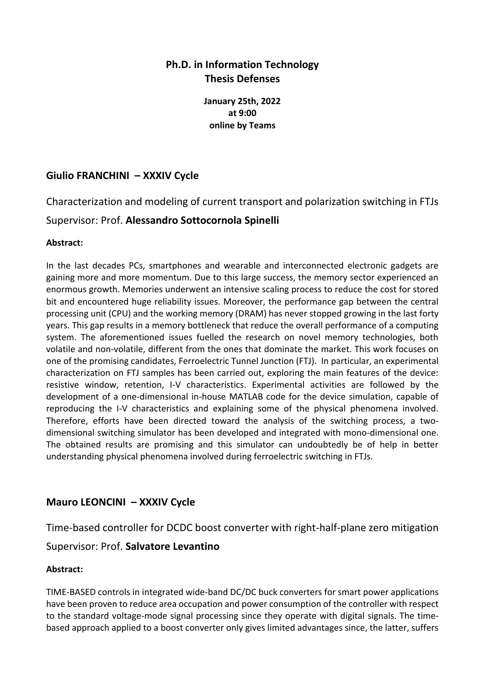# **Ph.D. in Information Technology Thesis Defenses**

**January 25th, 2022 at 9:00 online by Teams**

## **Giulio FRANCHINI – XXXIV Cycle**

Characterization and modeling of current transport and polarization switching in FTJs

### Supervisor: Prof. **Alessandro Sottocornola Spinelli**

#### **Abstract:**

In the last decades PCs, smartphones and wearable and interconnected electronic gadgets are gaining more and more momentum. Due to this large success, the memory sector experienced an enormous growth. Memories underwent an intensive scaling process to reduce the cost for stored bit and encountered huge reliability issues. Moreover, the performance gap between the central processing unit (CPU) and the working memory (DRAM) has never stopped growing in the last forty years. This gap results in a memory bottleneck that reduce the overall performance of a computing system. The aforementioned issues fuelled the research on novel memory technologies, both volatile and non-volatile, different from the ones that dominate the market. This work focuses on one of the promising candidates, Ferroelectric Tunnel Junction (FTJ). In particular, an experimental characterization on FTJ samples has been carried out, exploring the main features of the device: resistive window, retention, I-V characteristics. Experimental activities are followed by the development of a one-dimensional in-house MATLAB code for the device simulation, capable of reproducing the I-V characteristics and explaining some of the physical phenomena involved. Therefore, efforts have been directed toward the analysis of the switching process, a twodimensional switching simulator has been developed and integrated with mono-dimensional one. The obtained results are promising and this simulator can undoubtedly be of help in better understanding physical phenomena involved during ferroelectric switching in FTJs.

## **Mauro LEONCINI – XXXIV Cycle**

Time-based controller for DCDC boost converter with right-half-plane zero mitigation

### Supervisor: Prof. **Salvatore Levantino**

### **Abstract:**

TIME-BASED controls in integrated wide-band DC/DC buck converters for smart power applications have been proven to reduce area occupation and power consumption of the controller with respect to the standard voltage-mode signal processing since they operate with digital signals. The timebased approach applied to a boost converter only gives limited advantages since, the latter, suffers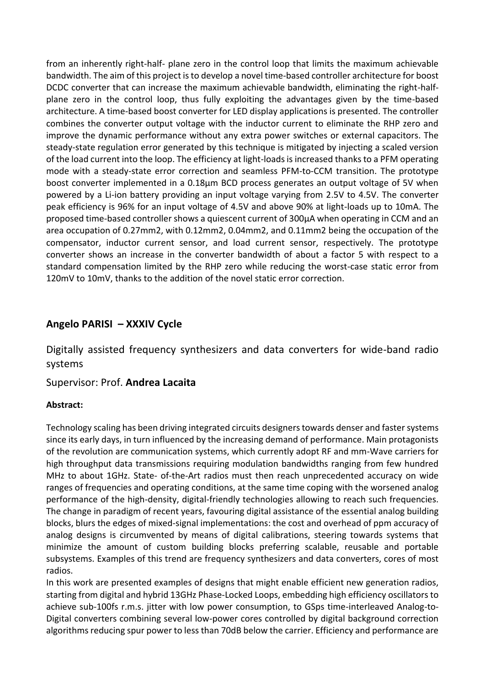from an inherently right-half- plane zero in the control loop that limits the maximum achievable bandwidth. The aim of this project is to develop a novel time-based controller architecture for boost DCDC converter that can increase the maximum achievable bandwidth, eliminating the right-halfplane zero in the control loop, thus fully exploiting the advantages given by the time-based architecture. A time-based boost converter for LED display applications is presented. The controller combines the converter output voltage with the inductor current to eliminate the RHP zero and improve the dynamic performance without any extra power switches or external capacitors. The steady-state regulation error generated by this technique is mitigated by injecting a scaled version of the load current into the loop. The efficiency at light-loads is increased thanks to a PFM operating mode with a steady-state error correction and seamless PFM-to-CCM transition. The prototype boost converter implemented in a 0.18μm BCD process generates an output voltage of 5V when powered by a Li-ion battery providing an input voltage varying from 2.5V to 4.5V. The converter peak efficiency is 96% for an input voltage of 4.5V and above 90% at light-loads up to 10mA. The proposed time-based controller shows a quiescent current of 300μA when operating in CCM and an area occupation of 0.27mm2, with 0.12mm2, 0.04mm2, and 0.11mm2 being the occupation of the compensator, inductor current sensor, and load current sensor, respectively. The prototype converter shows an increase in the converter bandwidth of about a factor 5 with respect to a standard compensation limited by the RHP zero while reducing the worst-case static error from 120mV to 10mV, thanks to the addition of the novel static error correction.

## **Angelo PARISI – XXXIV Cycle**

Digitally assisted frequency synthesizers and data converters for wide-band radio systems

Supervisor: Prof. **Andrea Lacaita**

#### **Abstract:**

Technology scaling has been driving integrated circuits designers towards denser and faster systems since its early days, in turn influenced by the increasing demand of performance. Main protagonists of the revolution are communication systems, which currently adopt RF and mm-Wave carriers for high throughput data transmissions requiring modulation bandwidths ranging from few hundred MHz to about 1GHz. State- of-the-Art radios must then reach unprecedented accuracy on wide ranges of frequencies and operating conditions, at the same time coping with the worsened analog performance of the high-density, digital-friendly technologies allowing to reach such frequencies. The change in paradigm of recent years, favouring digital assistance of the essential analog building blocks, blurs the edges of mixed-signal implementations: the cost and overhead of ppm accuracy of analog designs is circumvented by means of digital calibrations, steering towards systems that minimize the amount of custom building blocks preferring scalable, reusable and portable subsystems. Examples of this trend are frequency synthesizers and data converters, cores of most radios.

In this work are presented examples of designs that might enable efficient new generation radios, starting from digital and hybrid 13GHz Phase-Locked Loops, embedding high efficiency oscillators to achieve sub-100fs r.m.s. jitter with low power consumption, to GSps time-interleaved Analog-to-Digital converters combining several low-power cores controlled by digital background correction algorithms reducing spur power to less than 70dB below the carrier. Efficiency and performance are